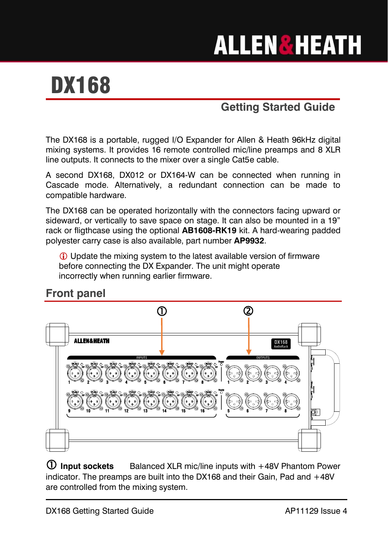# **ALLEN&HEATH**

# DX168

## **Getting Started Guide**

The DX168 is a portable, rugged I/O Expander for Allen & Heath 96kHz digital mixing systems. It provides 16 remote controlled mic/line preamps and 8 XLR line outputs. It connects to the mixer over a single Cat5e cable.

A second DX168, DX012 or DX164-W can be connected when running in Cascade mode. Alternatively, a redundant connection can be made to compatible hardware.

The DX168 can be operated horizontally with the connectors facing upward or sideward, or vertically to save space on stage. It can also be mounted in a 19" rack or fligthcase using the optional **AB1608-RK19** kit. A hard-wearing padded polyester carry case is also available, part number **AP9932**.

 Update the mixing system to the latest available version of firmware before connecting the DX Expander. The unit might operate incorrectly when running earlier firmware.

#### **Front panel**



 **Input sockets** Balanced XLR mic/line inputs with +48V Phantom Power indicator. The preamps are built into the DX168 and their Gain, Pad and +48V are controlled from the mixing system.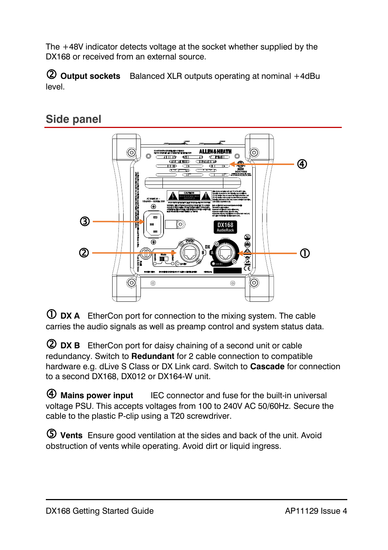The +48V indicator detects voltage at the socket whether supplied by the DX168 or received from an external source.

 **Output sockets** Balanced XLR outputs operating at nominal +4dBu level.

#### **Side panel**



 **DX A** EtherCon port for connection to the mixing system. The cable carries the audio signals as well as preamp control and system status data.

 **DX B** EtherCon port for daisy chaining of a second unit or cable redundancy. Switch to **Redundant** for 2 cable connection to compatible hardware e.g. dLive S Class or DX Link card. Switch to **Cascade** for connection to a second DX168, DX012 or DX164-W unit.

 **Mains power input** IEC connector and fuse for the built-in universal voltage PSU. This accepts voltages from 100 to 240V AC 50/60Hz. Secure the cable to the plastic P-clip using a T20 screwdriver.

 **Vents** Ensure good ventilation at the sides and back of the unit. Avoid obstruction of vents while operating. Avoid dirt or liquid ingress.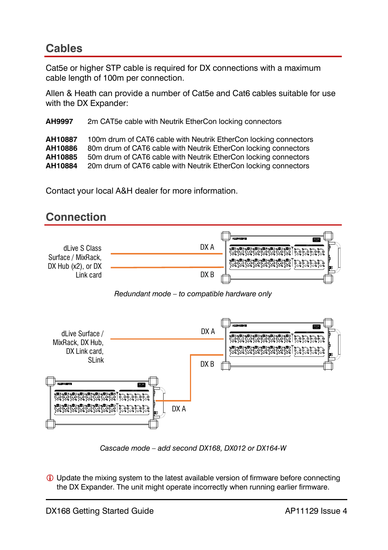### **Cables**

Cat5e or higher STP cable is required for DX connections with a maximum cable length of 100m per connection.

Allen & Heath can provide a number of Cat5e and Cat6 cables suitable for use with the DX Expander:

**AH9997** 2m CAT5e cable with Neutrik EtherCon locking connectors

**AH10887** 100m drum of CAT6 cable with Neutrik EtherCon locking connectors **AH10886** 80m drum of CAT6 cable with Neutrik EtherCon locking connectors<br>**AH10885** 50m drum of CAT6 cable with Neutrik EtherCon locking connectors **AH10885** 50m drum of CAT6 cable with Neutrik EtherCon locking connectors<br>**AH10884** 20m drum of CAT6 cable with Neutrik EtherCon locking connectors 20m drum of CAT6 cable with Neutrik EtherCon locking connectors

Contact your local A&H dealer for more information.



*Cascade mode – add second DX168, DX012 or DX164-W*

 Update the mixing system to the latest available version of firmware before connecting the DX Expander. The unit might operate incorrectly when running earlier firmware.